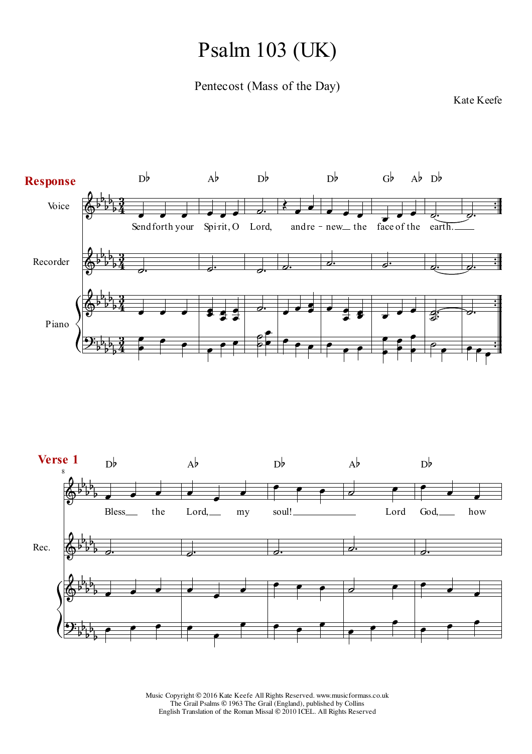## Psalm 103 (UK)

Pentecost (Mass of the Day)

## Kate Keefe



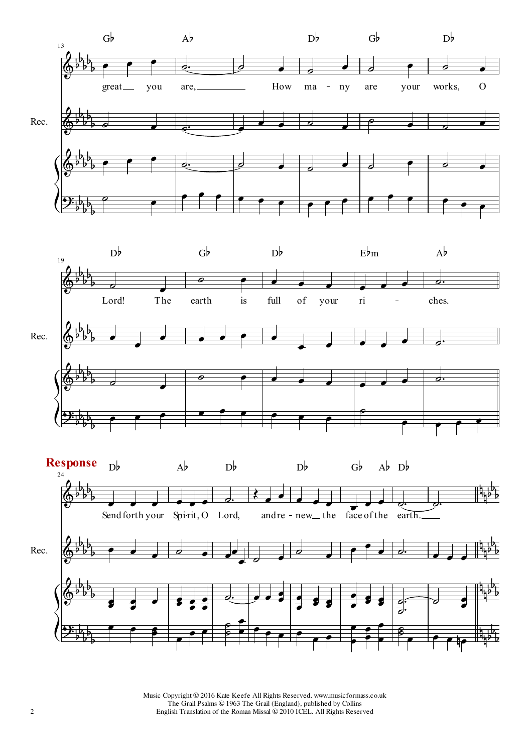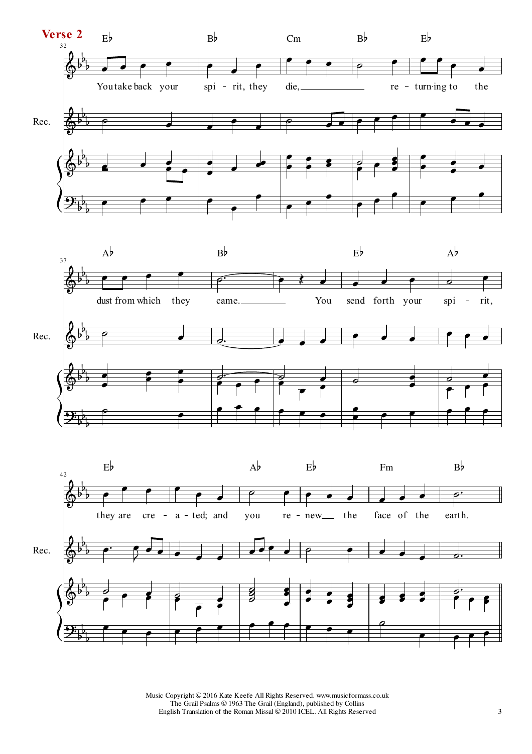



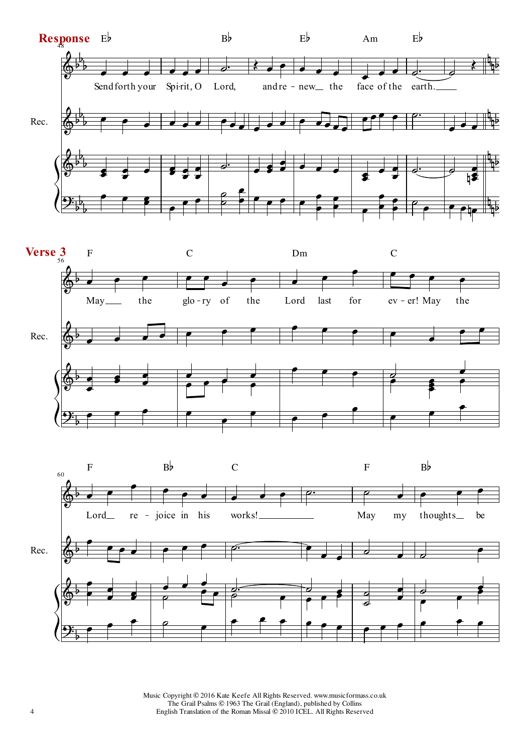



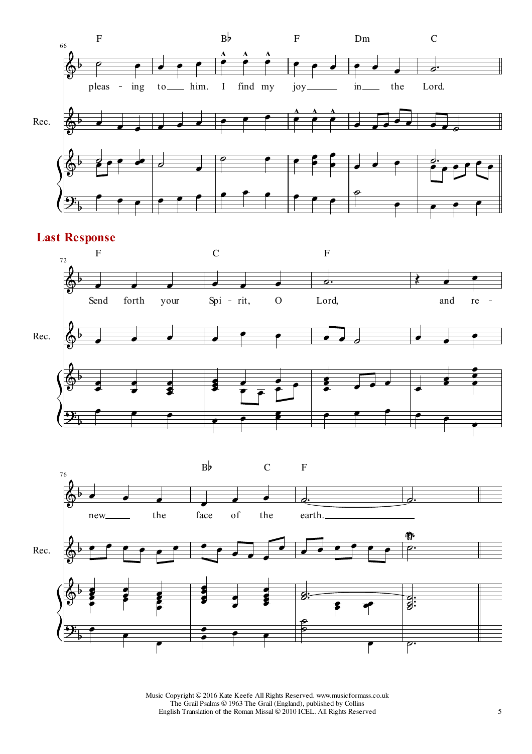

## **Last Response**



 $B\flat$  C F